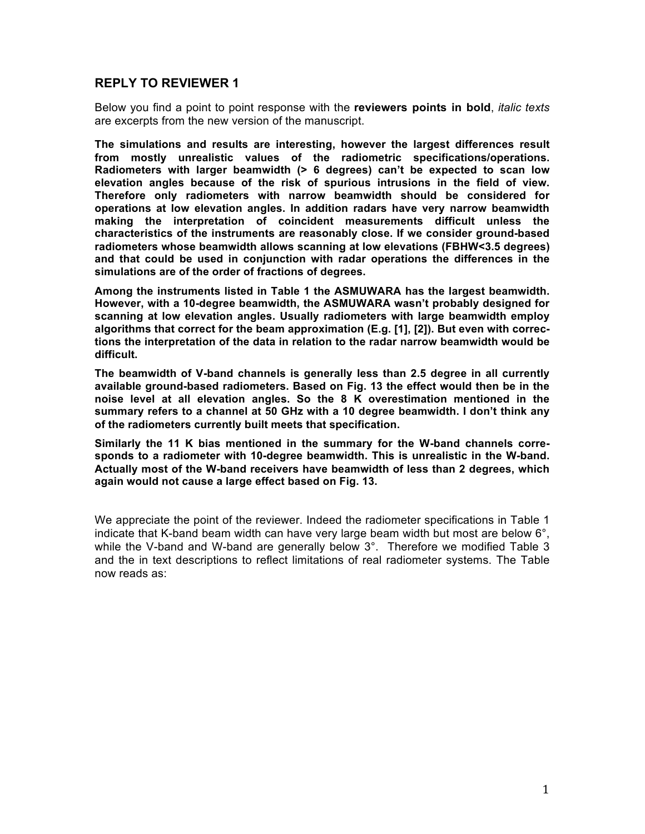## **REPLY TO REVIEWER 1**

Below you find a point to point response with the **reviewers points in bold**, *italic texts* are excerpts from the new version of the manuscript.

**The simulations and results are interesting, however the largest differences result from mostly unrealistic values of the radiometric specifications/operations. Radiometers with larger beamwidth (> 6 degrees) can't be expected to scan low elevation angles because of the risk of spurious intrusions in the field of view. Therefore only radiometers with narrow beamwidth should be considered for operations at low elevation angles. In addition radars have very narrow beamwidth making the interpretation of coincident measurements difficult unless the characteristics of the instruments are reasonably close. If we consider ground-based radiometers whose beamwidth allows scanning at low elevations (FBHW<3.5 degrees) and that could be used in conjunction with radar operations the differences in the simulations are of the order of fractions of degrees.**

**Among the instruments listed in Table 1 the ASMUWARA has the largest beamwidth. However, with a 10-degree beamwidth, the ASMUWARA wasn't probably designed for scanning at low elevation angles. Usually radiometers with large beamwidth employ algorithms that correct for the beam approximation (E.g. [1], [2]). But even with corrections the interpretation of the data in relation to the radar narrow beamwidth would be difficult.**

**The beamwidth of V-band channels is generally less than 2.5 degree in all currently available ground-based radiometers. Based on Fig. 13 the effect would then be in the noise level at all elevation angles. So the 8 K overestimation mentioned in the summary refers to a channel at 50 GHz with a 10 degree beamwidth. I don't think any of the radiometers currently built meets that specification.**

**Similarly the 11 K bias mentioned in the summary for the W-band channels corresponds to a radiometer with 10-degree beamwidth. This is unrealistic in the W-band. Actually most of the W-band receivers have beamwidth of less than 2 degrees, which again would not cause a large effect based on Fig. 13.**

We appreciate the point of the reviewer. Indeed the radiometer specifications in Table 1 indicate that K-band beam width can have very large beam width but most are below 6°, while the V-band and W-band are generally below  $3^\circ$ . Therefore we modified Table 3 and the in text descriptions to reflect limitations of real radiometer systems. The Table now reads as: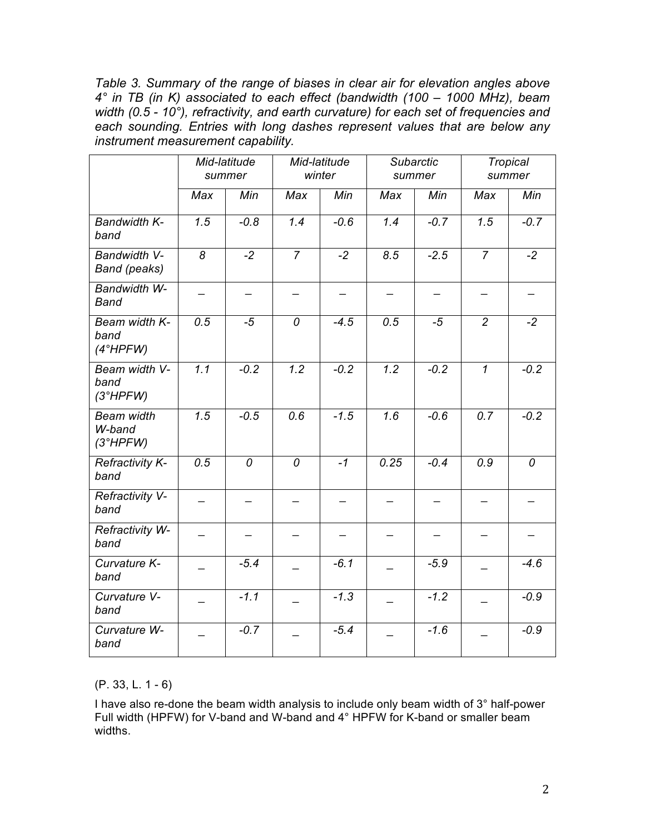*Table 3. Summary of the range of biases in clear air for elevation angles above 4° in TB (in K) associated to each effect (bandwidth (100 – 1000 MHz), beam width (0.5 - 10°), refractivity, and earth curvature) for each set of frequencies and each sounding. Entries with long dashes represent values that are below any instrument measurement capability.*

|                                         | Mid-latitude<br>summer |        | Mid-latitude<br>winter |        | Subarctic<br>summer |        | <b>Tropical</b><br>summer |        |
|-----------------------------------------|------------------------|--------|------------------------|--------|---------------------|--------|---------------------------|--------|
|                                         | Max                    | Min    | Max                    | Min    | Max                 | Min    | Max                       | Min    |
| <b>Bandwidth K-</b><br>band             | 1.5                    | $-0.8$ | 1.4                    | $-0.6$ | 1.4                 | $-0.7$ | 1.5                       | $-0.7$ |
| Bandwidth V-<br><b>Band (peaks)</b>     | 8                      | $-2$   | $\overline{7}$         | $-2$   | 8.5                 | $-2.5$ | $\overline{7}$            | $-2$   |
| Bandwidth W-<br><b>Band</b>             |                        |        |                        |        |                     |        |                           |        |
| Beam width K-<br>band<br>(4°HPFW)       | 0.5                    | $-5$   | 0                      | $-4.5$ | 0.5                 | $-5$   | $\overline{2}$            | $-2$   |
| Beam width V-<br>band<br>(3°HPFW)       | $\overline{1.1}$       | $-0.2$ | 1.2                    | $-0.2$ | $\overline{1.2}$    | $-0.2$ | $\overline{1}$            | $-0.2$ |
| <b>Beam width</b><br>W-band<br>(3°HPFW) | 1.5                    | $-0.5$ | 0.6                    | $-1.5$ | 1.6                 | $-0.6$ | 0.7                       | $-0.2$ |
| <b>Refractivity K-</b><br>band          | 0.5                    | 0      | 0                      | $-1$   | 0.25                | $-0.4$ | 0.9                       | 0      |
| Refractivity V-<br>band                 |                        |        |                        |        |                     |        |                           |        |
| Refractivity W-<br>band                 |                        |        |                        |        |                     |        |                           |        |
| Curvature K-<br>band                    |                        | $-5.4$ |                        | $-6.1$ |                     | $-5.9$ |                           | $-4.6$ |
| Curvature V-<br>band                    |                        | $-1.1$ |                        | $-1.3$ |                     | $-1.2$ |                           | $-0.9$ |
| Curvature W-<br>band                    |                        | $-0.7$ |                        | $-5.4$ |                     | $-1.6$ |                           | $-0.9$ |

(P. 33, L. 1 - 6)

I have also re-done the beam width analysis to include only beam width of 3° half-power Full width (HPFW) for V-band and W-band and 4° HPFW for K-band or smaller beam widths.